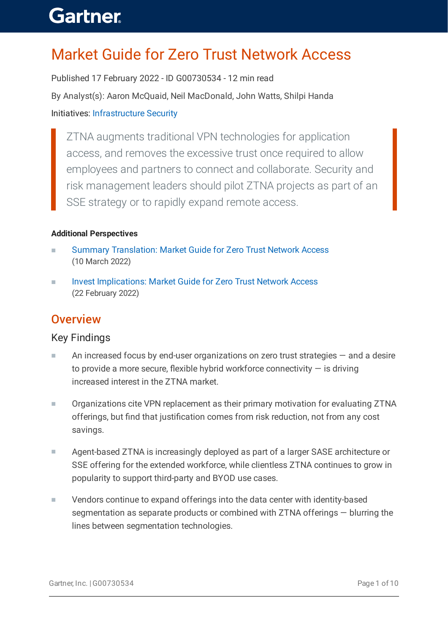### Market Guide for Zero Trust Network Access

Published 17 February 2022 - ID G00730534 - 12 min read By Analyst(s): Aaron McQuaid, Neil MacDonald, John Watts, Shilpi Handa Initiatives: [Infrastructure](https://www.gartner.com/explore/initiatives/overview/15958) Security

ZTNA augments traditional VPN technologies for application access, and removes the excessive trust once required to allow employees and partners to connect and collaborate. Security and risk management leaders should pilot ZTNA projects as part of an SSE strategy or to rapidly expand remote access.

#### **Additional Perspectives**

- Summary [Translation:](https://www.gartner.com/document/code/767691?ref=authbody&refval=) Market Guide for Zero Trust Network Access (10 March 2022) ■
- Invest [Implications:](https://www.gartner.com/document/code/767087?ref=authbody&refval=) Market Guide for Zero Trust Network Access (22 February 2022) ■

#### **Overview**

#### Key Findings

- An increased focus by end-user organizations on zero trust strategies and a desire to provide a more secure, flexible hybrid workforce connectivity  $-$  is driving increased interest in the ZTNA market. ■
- Organizations cite VPN replacement as their primary motivation for evaluating ZTNA offerings, but find that justification comes from risk reduction, not from any cost savings. ■
- Agent-based ZTNA is increasingly deployed as part of a larger SASE architecture or SSE offering for the extended workforce, while clientless ZTNA continues to grow in popularity to support third-party and BYOD use cases. ■
- Vendors continue to expand offerings into the data center with identity-based segmentation as separate products or combined with ZTNA offerings — blurring the lines between segmentation technologies. ■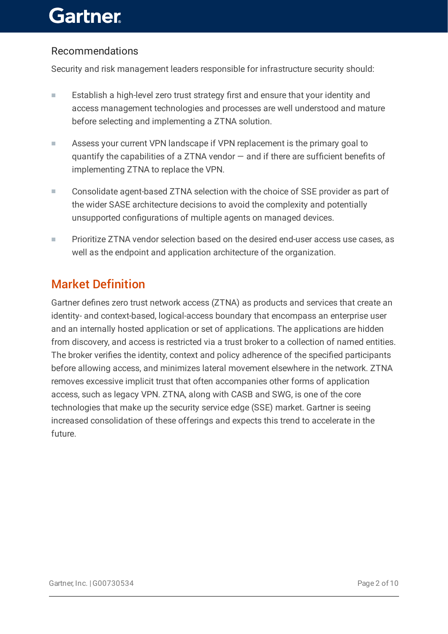#### Recommendations

Security and risk management leaders responsible for infrastructure security should:

- Establish a high-level zero trust strategy first and ensure that your identity and access management technologies and processes are well understood and mature before selecting and implementing a ZTNA solution. ■
- Assess your current VPN landscape if VPN replacement is the primary goal to quantify the capabilities of a ZTNA vendor — and if there are sufficient benefits of implementing ZTNA to replace the VPN. ■
- Consolidate agent-based ZTNA selection with the choice of SSE provider as part of the wider SASE architecture decisions to avoid the complexity and potentially unsupported configurations of multiple agents on managed devices. ■
- Prioritize ZTNA vendor selection based on the desired end-user access use cases, as well as the endpoint and application architecture of the organization. ■

### Market Definition

Gartner defines zero trust network access (ZTNA) as products and services that create an identity- and context-based, logical-access boundary that encompass an enterprise user and an internally hosted application or set of applications. The applications are hidden from discovery, and access is restricted via a trust broker to a collection of named entities. The broker verifies the identity, context and policy adherence of the specified participants before allowing access, and minimizes lateral movement elsewhere in the network. ZTNA removes excessive implicit trust that often accompanies other forms of application access, such as legacy VPN. ZTNA, along with CASB and SWG, is one of the core technologies that make up the security service edge (SSE) market. Gartner is seeing increased consolidation of these offerings and expects this trend to accelerate in the future.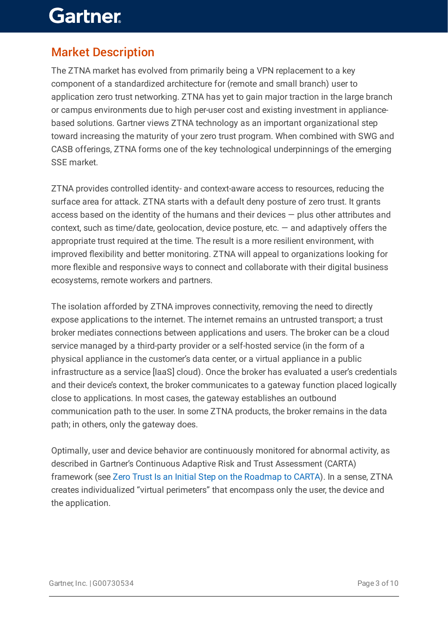### Market Description

The ZTNA market has evolved from primarily being a VPN replacement to a key component of a standardized architecture for (remote and small branch) user to application zero trust networking. ZTNA has yet to gain major traction in the large branch or campus environments due to high per-user cost and existing investment in appliancebased solutions. Gartner views ZTNA technology as an important organizational step toward increasing the maturity of your zero trust program. When combined with SWG and CASB offerings, ZTNA forms one of the key technological underpinnings of the emerging SSE market.

ZTNA provides controlled identity- and context-aware access to resources, reducing the surface area for attack. ZTNA starts with a default deny posture of zero trust. It grants access based on the identity of the humans and their devices — plus other attributes and context, such as time/date, geolocation, device posture, etc. — and adaptively offers the appropriate trust required at the time. The result is a more resilient environment, with improved flexibility and better monitoring. ZTNA will appeal to organizations looking for more flexible and responsive ways to connect and collaborate with their digital business ecosystems, remote workers and partners.

The isolation afforded by ZTNA improves connectivity, removing the need to directly expose applications to the internet. The internet remains an untrusted transport; a trust broker mediates connections between applications and users. The broker can be a cloud service managed by a third-party provider or a self-hosted service (in the form of a physical appliance in the customer's data center, or a virtual appliance in a public infrastructure as a service [IaaS] cloud). Once the broker has evaluated a user's credentials and their device's context, the broker communicates to a gateway function placed logically close to applications. In most cases, the gateway establishes an outbound communication path to the user. In some ZTNA products, the broker remains in the data path; in others, only the gateway does.

Optimally, user and device behavior are continuously monitored for abnormal activity, as described in Gartner's Continuous Adaptive Risk and Trust Assessment (CARTA) framework (see Zero Trust Is an Initial Step on the [Roadmap](https://www.gartner.com/document/code/377791?ref=authbody&refval=) to CARTA). In a sense, ZTNA creates individualized "virtual perimeters" that encompass only the user, the device and the application.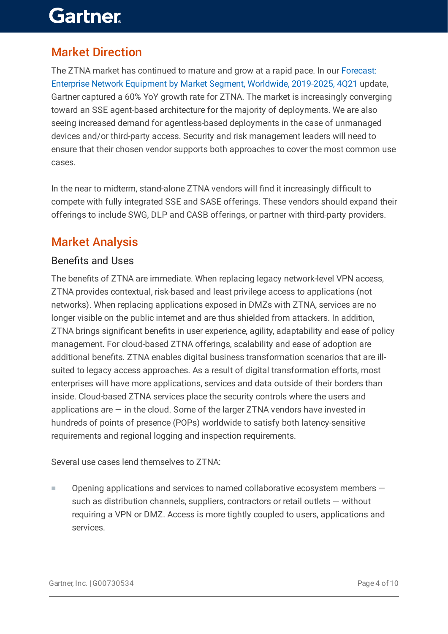### Market Direction

The ZTNA market has continued to mature and grow at a rapid pace. In our Forecast: Enterprise Network Equipment by Market Segment, Worldwide, [2019-2025,](https://www.gartner.com/document/code/742291?ref=authbody&refval=) 4Q21 update, Gartner captured a 60% YoY growth rate for ZTNA. The market is increasingly converging toward an SSE agent-based architecture for the majority of deployments. We are also seeing increased demand for agentless-based deployments in the case of unmanaged devices and/or third-party access. Security and risk management leaders will need to ensure that their chosen vendor supports both approaches to cover the most common use cases.

In the near to midterm, stand-alone ZTNA vendors will find it increasingly difficult to compete with fully integrated SSE and SASE offerings. These vendors should expand their offerings to include SWG, DLP and CASB offerings, or partner with third-party providers.

### Market Analysis

#### Benefits and Uses

The benefits of ZTNA are immediate. When replacing legacy network-level VPN access, ZTNA provides contextual, risk-based and least privilege access to applications (not networks). When replacing applications exposed in DMZs with ZTNA, services are no longer visible on the public internet and are thus shielded from attackers. In addition, ZTNA brings significant benefits in user experience, agility, adaptability and ease of policy management. For cloud-based ZTNA offerings, scalability and ease of adoption are additional benefits. ZTNA enables digital business transformation scenarios that are illsuited to legacy access approaches. As a result of digital transformation efforts, most enterprises will have more applications, services and data outside of their borders than inside. Cloud-based ZTNA services place the security controls where the users and applications are  $-$  in the cloud. Some of the larger ZTNA vendors have invested in hundreds of points of presence (POPs) worldwide to satisfy both latency-sensitive requirements and regional logging and inspection requirements.

Several use cases lend themselves to ZTNA:

Opening applications and services to named collaborative ecosystem members such as distribution channels, suppliers, contractors or retail outlets — without requiring a VPN or DMZ. Access is more tightly coupled to users, applications and services. ■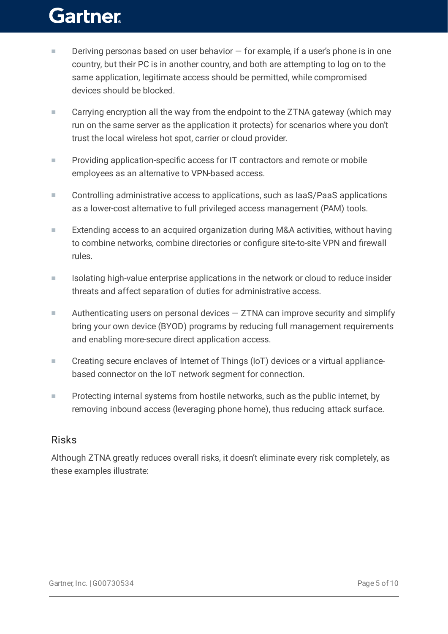- Deriving personas based on user behavior  $-$  for example, if a user's phone is in one country, but their PC is in another country, and both are attempting to log on to the same application, legitimate access should be permitted, while compromised devices should be blocked. ■
- Carrying encryption all the way from the endpoint to the ZTNA gateway (which may run on the same server as the application it protects) for scenarios where you don't trust the local wireless hot spot, carrier or cloud provider. ■
- Providing application-specific access for IT contractors and remote or mobile employees as an alternative to VPN-based access. ■
- Controlling administrative access to applications, such as IaaS/PaaS applications as a lower-cost alternative to full privileged access management (PAM) tools. ■
- Extending access to an acquired organization during M&A activities, without having to combine networks, combine directories or configure site-to-site VPN and firewall rules. ■
- Isolating high-value enterprise applications in the network or cloud to reduce insider threats and affect separation of duties for administrative access. ■
- Authenticating users on personal devices  $-$  ZTNA can improve security and simplify bring your own device (BYOD) programs by reducing full management requirements and enabling more-secure direct application access. ■
- Creating secure enclaves of Internet of Things (IoT) devices or a virtual appliancebased connector on the IoT network segment for connection. ■
- Protecting internal systems from hostile networks, such as the public internet, by removing inbound access (leveraging phone home), thus reducing attack surface. ■

#### Risks

Although ZTNA greatly reduces overall risks, it doesn't eliminate every risk completely, as these examples illustrate: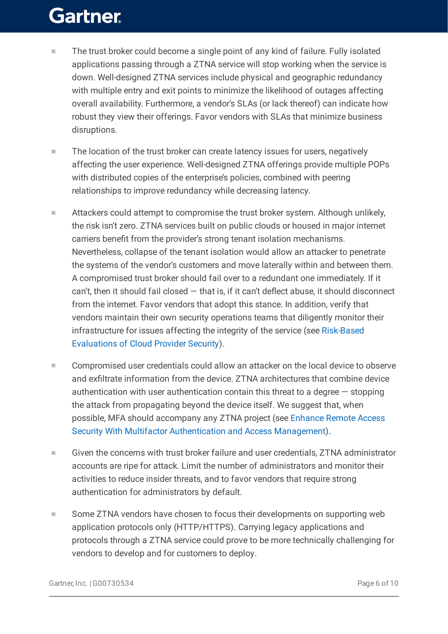- The trust broker could become a single point of any kind of failure. Fully isolated applications passing through a ZTNA service will stop working when the service is down. Well-designed ZTNA services include physical and geographic redundancy with multiple entry and exit points to minimize the likelihood of outages affecting overall availability. Furthermore, a vendor's SLAs (or lack thereof) can indicate how robust they view their offerings. Favor vendors with SLAs that minimize business disruptions. ■
- The location of the trust broker can create latency issues for users, negatively affecting the user experience. Well-designed ZTNA offerings provide multiple POPs with distributed copies of the enterprise's policies, combined with peering relationships to improve redundancy while decreasing latency. ■
- Attackers could attempt to compromise the trust broker system. Although unlikely, the risk isn't zero. ZTNA services built on public clouds or housed in major internet carriers benefit from the provider's strong tenant isolation mechanisms. Nevertheless, collapse of the tenant isolation would allow an attacker to penetrate the systems of the vendor's customers and move laterally within and between them. A compromised trust broker should fail over to a redundant one immediately. If it can't, then it should fail closed  $-$  that is, if it can't deflect abuse, it should disconnect from the internet. Favor vendors that adopt this stance. In addition, verify that vendors maintain their own security operations teams that diligently monitor their [infrastructure](https://www.gartner.com/document/code/754317?ref=authbody&refval=) for issues affecting the integrity of the service (see Risk-Based Evaluations of Cloud Provider Security). ■
- Compromised user credentials could allow an attacker on the local device to observe and exfiltrate information from the device. ZTNA architectures that combine device authentication with user authentication contain this threat to a degree — stopping the attack from propagating beyond the device itself. We suggest that, when possible, MFA should accompany any ZTNA project (see Enhance Remote Access Security With Multifactor Authentication and Access [Management\).](https://www.gartner.com/document/code/724227?ref=authbody&refval=) ■
- Given the concerns with trust broker failure and user credentials, ZTNA administrator accounts are ripe for attack. Limit the number of administrators and monitor their activities to reduce insider threats, and to favor vendors that require strong authentication for administrators by default. ■
- Some ZTNA vendors have chosen to focus their developments on supporting web application protocols only (HTTP/HTTPS). Carrying legacy applications and protocols through a ZTNA service could prove to be more technically challenging for vendors to develop and for customers to deploy. ■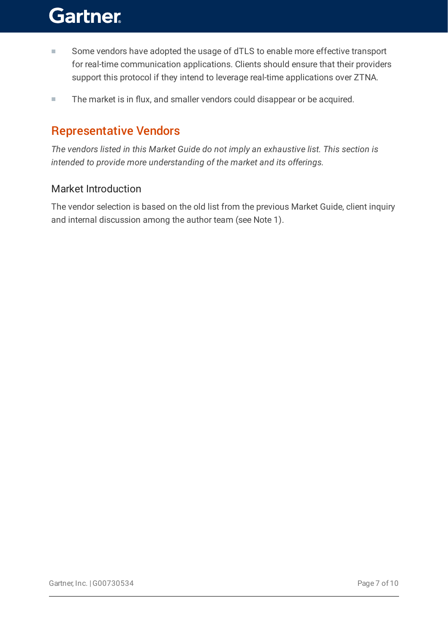- Some vendors have adopted the usage of dTLS to enable more effective transport for real-time communication applications. Clients should ensure that their providers support this protocol if they intend to leverage real-time applications over ZTNA. ■
- The market is in flux, and smaller vendors could disappear or be acquired.

### Representative Vendors

*The vendors listed in this Market Guide do not imply an exhaustive list. This section is intended to provide more understanding of the market and its offerings.*

#### Market Introduction

The vendor selection is based on the old list from the previous Market Guide, client inquiry and internal discussion among the author team (see Note 1).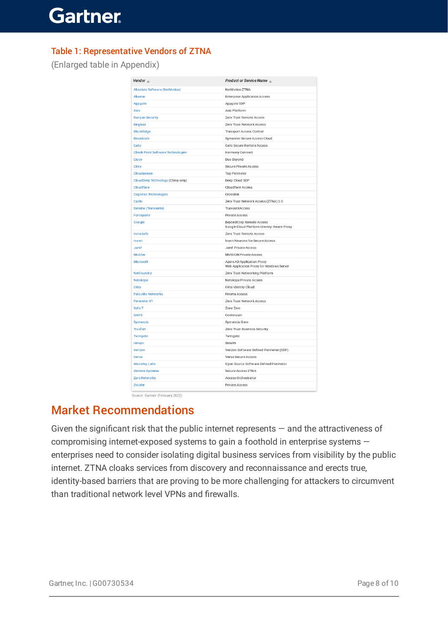#### Table 1: Representative Vendors of ZTNA

(Enlarged table in Appendix)

| Vendor $\mathbb U$                       | Product or Service Name $\downarrow$                                   |
|------------------------------------------|------------------------------------------------------------------------|
| <b>Absolute Software (NetMotion)</b>     | NetMotion ZTNA                                                         |
| Akamai                                   | <b>Enterprise Application Access</b>                                   |
| Appgate                                  | Appgate SDP                                                            |
| Axis                                     | Axis Platform                                                          |
| <b>Banyan Security</b>                   | Zero Trust Remote Access                                               |
| <b>Bit glass</b>                         | Zero Trust Network Access                                              |
| <b>BlackRidge</b>                        | Transport Access Control                                               |
| <b>Broadcom</b>                          | Symantec Secure Access Cloud                                           |
| Cato                                     | Cato Secure Remote Access                                              |
| <b>Check Point Software Technologies</b> | Harmony Connect                                                        |
| Cisco                                    | Duo Beyond                                                             |
| Citrix                                   | Secure Private Access                                                  |
| Cloudaemon                               | Taiji Perimeter                                                        |
| CloudDeep Technology (China only)        | Deep Cloud SDP                                                         |
| Cloudflare                               | Cloudflare Access                                                      |
| <b>Cognitas Technologies</b>             | Crosslink                                                              |
| Cyolo                                    | Zero Trust Network Access (ZTNA) 2.0                                   |
| <b>Deloitte (Transientx)</b>             | <b>TransientAccess</b>                                                 |
| Forcepoint                               | Private Access                                                         |
| Google                                   | BeyondCorp Remote Access<br>Google Cloud Platform Identity-Aware Proxy |
| InstaSafe                                | Zero Trust Remote Access                                               |
| <b>Ivanti</b>                            | Ivanti Neurons for Secure Access                                       |
| Jamf                                     | Jamf Private Access                                                    |
| McAfee                                   | <b>MVISION Private Access</b>                                          |
| Microsoft                                | Azure AD Application Proxy<br>Web Application Proxy for Windows Server |
| <b>NetFoundry</b>                        | Zero Trust Networking Platform                                         |
| Net skope                                | Netskope Private Access                                                |
| Okta                                     | Okta Identity Cloud                                                    |
| Palo Alto Networks                       | Prisma Access                                                          |
| Perimeter 81                             | Zero Trust Network Access                                              |
| Safe-T                                   | Zone Zero                                                              |
| <b>SAIFE</b>                             | Continuum                                                              |
| <b>Systancia</b>                         | Systancia Gate                                                         |
| <b>Trusfort</b>                          | Zero-Trust Business Security                                           |
| Twingate                                 | Twingate                                                               |
| <b>Unisys</b>                            | Stealth                                                                |
| Verizon                                  | Verizon Software Defined Perimeter (SDP)                               |
| Versa                                    | Versa Secure Access                                                    |
| <b>Waverley Labs</b>                     | Open Source Software Defined Perimeter                                 |
| <b>Zentera Systems</b>                   | Secure Access ZTNA                                                     |
| <b>Zero Networks</b>                     | Access Orchestrator                                                    |
| Zscaler                                  | Private Access                                                         |

Source: Gartner (February 2022)

### Market Recommendations

Given the significant risk that the public internet represents — and the attractiveness of compromising internet-exposed systems to gain a foothold in enterprise systems enterprises need to consider isolating digital business services from visibility by the public internet. ZTNA cloaks services from discovery and reconnaissance and erects true, identity-based barriers that are proving to be more challenging for attackers to circumvent than traditional network level VPNs and firewalls.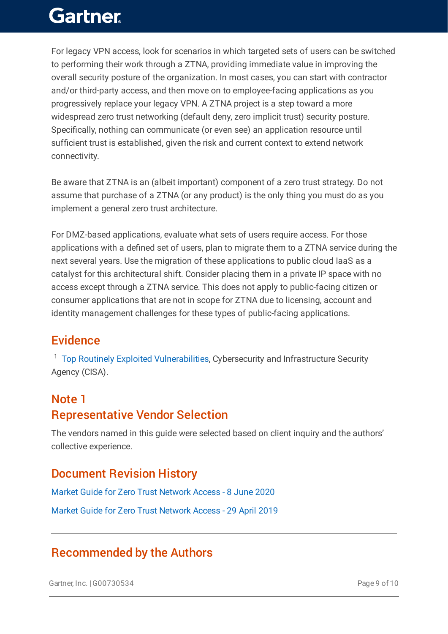For legacy VPN access, look for scenarios in which targeted sets of users can be switched to performing their work through a ZTNA, providing immediate value in improving the overall security posture of the organization. In most cases, you can start with contractor and/or third-party access, and then move on to employee-facing applications as you progressively replace your legacy VPN. A ZTNA project is a step toward a more widespread zero trust networking (default deny, zero implicit trust) security posture. Specifically, nothing can communicate (or even see) an application resource until sufficient trust is established, given the risk and current context to extend network connectivity.

Be aware that ZTNA is an (albeit important) component of a zero trust strategy. Do not assume that purchase of a ZTNA (or any product) is the only thing you must do as you implement a general zero trust architecture.

For DMZ-based applications, evaluate what sets of users require access. For those applications with a defined set of users, plan to migrate them to a ZTNA service during the next several years. Use the migration of these applications to public cloud IaaS as a catalyst for this architectural shift. Consider placing them in a private IP space with no access except through a ZTNA service. This does not apply to public-facing citizen or consumer applications that are not in scope for ZTNA due to licensing, account and identity management challenges for these types of public-facing applications.

### Evidence

<sup>1</sup> Top Routinely Exploited [Vulnerabilities,](https://www.cisa.gov/uscert/ncas/alerts/aa21-209a) Cybersecurity and Infrastructure Security Agency (CISA).

#### Note 1

### Representative Vendor Selection

The vendors named in this guide were selected based on client inquiry and the authors' collective experience.

### Document Revision History

Market Guide for Zero Trust Network Access - 8 June 2020

Market Guide for Zero Trust Network Access - 29 April 2019

### Recommended by the Authors

Gartner, Inc. |G00730534 Page 9 of 10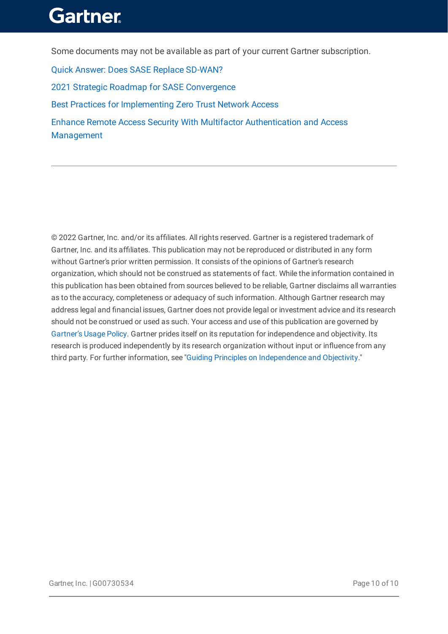Some documents may not be available as part of your current Gartner subscription.

Quick Answer: Does SASE Replace [SD-WAN?](https://www.gartner.com/document/4009907?ref=authbottomrec&refval=) 2021 Strategic Roadmap for SASE [Convergence](https://www.gartner.com/document/3999828?ref=authbottomrec&refval=) Best Practices for [Implementing](https://www.gartner.com/document/4002429?ref=authbottomrec&refval=) Zero Trust Network Access Enhance Remote Access Security With Multifactor [Authentication](https://www.gartner.com/document/3984715?ref=authbottomrec&refval=) and Access Management

© 2022 Gartner, Inc. and/or its affiliates. All rights reserved. Gartner is a registered trademark of Gartner, Inc. and its affiliates. This publication may not be reproduced or distributed in any form without Gartner's prior written permission. It consists of the opinions of Gartner's research organization, which should not be construed as statements of fact. While the information contained in this publication has been obtained from sources believed to be reliable, Gartner disclaims all warranties as to the accuracy, completeness or adequacy of such information. Although Gartner research may address legal and financial issues, Gartner does not provide legal or investment advice and its research should not be construed or used as such. Your access and use of this publication are governed by [Gartner's](https://www.gartner.com/technology/about/policies/usage_policy.jsp) Usage Policy. Gartner prides itself on its reputation for independence and objectivity. Its research is produced independently by its research organization without input or influence from any third party. For further information, see "Guiding Principles on [Independence](https://www.gartner.com/technology/about/ombudsman/omb_guide2.jsp) and Objectivity."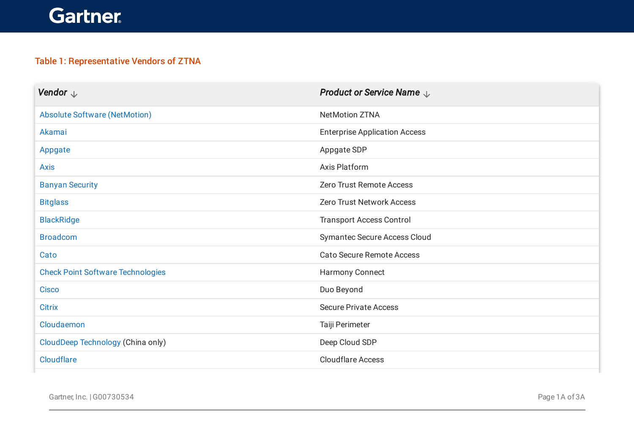#### Table 1: Representative Vendors of ZTNA

| Vendor $\downarrow$                      | <b>Product or Service Name</b> $\downarrow$ |
|------------------------------------------|---------------------------------------------|
| <b>Absolute Software (NetMotion)</b>     | <b>NetMotion ZTNA</b>                       |
| Akamai                                   | <b>Enterprise Application Access</b>        |
| Appgate                                  | Appgate SDP                                 |
| <b>Axis</b>                              | <b>Axis Platform</b>                        |
| <b>Banyan Security</b>                   | Zero Trust Remote Access                    |
| <b>Bitglass</b>                          | <b>Zero Trust Network Access</b>            |
| <b>BlackRidge</b>                        | <b>Transport Access Control</b>             |
| <b>Broadcom</b>                          | <b>Symantec Secure Access Cloud</b>         |
| Cato                                     | <b>Cato Secure Remote Access</b>            |
| <b>Check Point Software Technologies</b> | <b>Harmony Connect</b>                      |
| <b>Cisco</b>                             | Duo Beyond                                  |
| <b>Citrix</b>                            | <b>Secure Private Access</b>                |
| Cloudaemon                               | Taiji Perimeter                             |
| CloudDeep Technology (China only)        | Deep Cloud SDP                              |
| <b>Cloudflare</b>                        | <b>Cloudflare Access</b>                    |

Gartner, Inc. | G00730534 Page 1A of 3A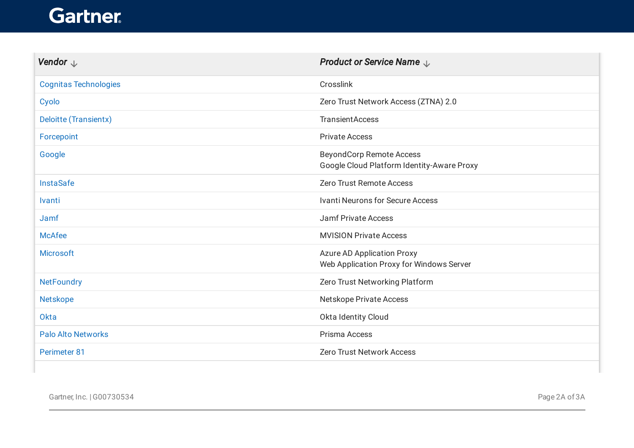| Vendor $\downarrow$          | <b>Product or Service Name</b> $\downarrow$                                   |
|------------------------------|-------------------------------------------------------------------------------|
| <b>Cognitas Technologies</b> | Crosslink                                                                     |
| Cyolo                        | Zero Trust Network Access (ZTNA) 2.0                                          |
| Deloitte (Transientx)        | <b>TransientAccess</b>                                                        |
| Forcepoint                   | <b>Private Access</b>                                                         |
| Google                       | <b>BeyondCorp Remote Access</b><br>Google Cloud Platform Identity-Aware Proxy |
| <b>InstaSafe</b>             | Zero Trust Remote Access                                                      |
| Ivanti                       | <b>Ivanti Neurons for Secure Access</b>                                       |
| Jamf                         | <b>Jamf Private Access</b>                                                    |
| <b>McAfee</b>                | <b>MVISION Private Access</b>                                                 |
| <b>Microsoft</b>             | <b>Azure AD Application Proxy</b><br>Web Application Proxy for Windows Server |
| <b>NetFoundry</b>            | Zero Trust Networking Platform                                                |
| Netskope                     | Netskope Private Access                                                       |
| Okta                         | Okta Identity Cloud                                                           |
| <b>Palo Alto Networks</b>    | Prisma Access                                                                 |
| Perimeter 81                 | <b>Zero Trust Network Access</b>                                              |